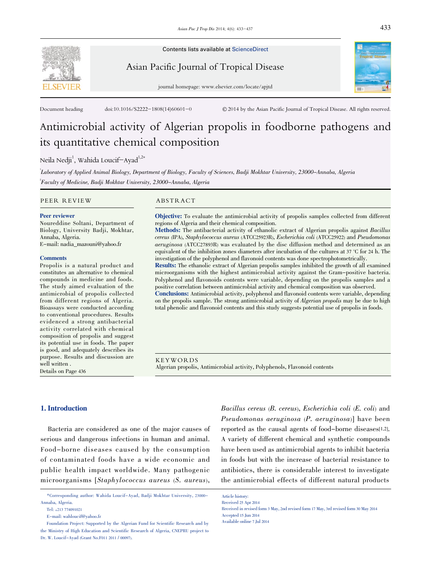

Contents lists available at ScienceDirect

Asian Pacific Journal of Tropical Disease

journal homepage: www.elsevier.com/locate/apjtd



Document heading doi:10.1016/S2222-1808(14)60601-0 © 2014 by the Asian Pacific Journal of Tropical Disease. All rights reserved.

# Antimicrobial activity of Algerian propolis in foodborne pathogens and its quantitative chemical composition

Neila Nedji $^1$ , Wahida Loucif $-$ Ayad $^{1,2\ast}$ 

<sup>'</sup>Laboratory of Applied Animal Biology, Department of Biology, Faculty of Sciences, Badji Mokhtar University, 23000–Annaba, Algeria ² Faculty of Medicine, Badji Mokhtar University, 23000-Annaba, Algeria

PEER REVIEW ABSTRACT

#### Peer reviewer

Noureddine Soltani, Department of Biology, University Badji, Mokhtar, Annaba, Algeria.

E-mail: nadia\_mazouni@yahoo.fr

#### **Comments**

Propolis is a natural product and constitutes an alternative to chemical compounds in medicine and foods. The study aimed evaluation of the antimicrobial of propolis collected from different regions of Algeria. Bioassays were conducted according to conventional procedures. Results evidenced a strong antibacterial activity correlated with chemical composition of propolis and suggest its potential use in foods. The paper is good, and adequately describes its purpose. Results and discussion are well written . Details on Page 436

Objective: To evaluate the antimicrobial activity of propolis samples collected from different regions of Algeria and their chemical composition.

Methods: The antibacterial activity of ethanolic extract of Algerian propolis against Bacillus cereus (IPA), Staphylococcus aureus (ATCC25923R), Escherichia coli (ATCC25922) and Pseudomonas aeruginosa (ATCC27893R) was evaluated by the disc diffusion method and determined as an equivalent of the inhibition zones diameters after incubation of the cultures at 37 °C for 24 h. The investigation of the polyphenol and flavonoid contents was done spectrophotometrically.

Results: The ethanolic extract of Algerian propolis samples inhibited the growth of all examined microorganisms with the highest antimicrobial activity against the Gram-positive bacteria. Polyphenol and flavonoids contents were variable, depending on the propolis samples and a positive correlation between antimicrobial activity and chemical composition was observed.

Conclusions: Antimicrobial activity, polyphenol and flavonoid contents were variable, depending on the propolis sample. The strong antimicrobial activity of Algerian propolis may be due to high total phenolic and flavonoid contents and this study suggests potential use of propolis in foods.

KEYWORDS Algerian propolis, Antimicrobial activity, Polyphenols, Flavonoid contents

#### 1. Introduction

Bacteria are considered as one of the major causes of serious and dangerous infections in human and animal. Food-borne diseases caused by the consumption of contaminated foods have a wide economic and public health impact worldwide. Many pathogenic microorganisms [Staphylococcus aureus (S. aureus),

Bacillus cereus (B. cereus), Escherichia coli (E. coli) and Pseudomonas aeruginosa (P. aeruginosa)] have been reported as the causal agents of food-borne diseases[1,2]. A variety of different chemical and synthetic compounds have been used as antimicrobial agents to inhibit bacteria in foods but with the increase of bacterial resistance to antibiotics, there is considerable interest to investigate the antimicrobial effects of different natural products

<sup>\*</sup>Corresponding author: Wahida Loucif-Ayad, Badji Mokhtar University, 23000- Annaba, Algeria.

Tel: +213 774091021

E-mail: wahloucif@yahoo.fr

Foundation Project: Supported by the Algerian Fund for Scientific Research and by the Ministry of High Education and Scientific Research of Algeria, CNEPRU project to Dr. W. Loucif-Ayad (Grant No.F011 2011 / 00097).

Article history: Received 25 Apr 2014

Received in revised form 3 May, 2nd revised form 17 May, 3rd revised form 30 May 2014 Accepted 15 Jun 2014 Available online 7 Jul 2014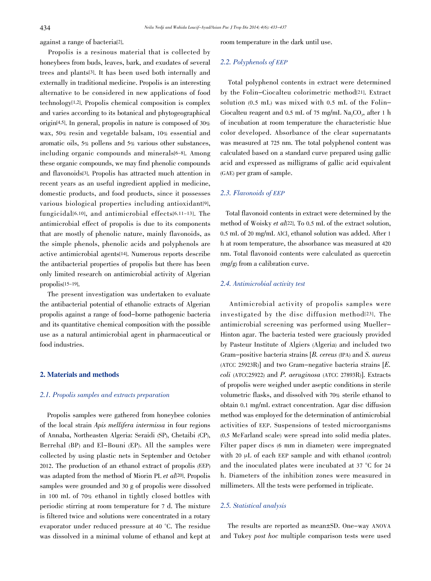against a range of bacteria[2].

Propolis is a resinous material that is collected by honeybees from buds, leaves, bark, and exudates of several trees and plants[3]. It has been used both internally and externally in traditional medicine. Propolis is an interesting alternative to be considered in new applications of food technology[1,2]. Propolis chemical composition is complex and varies according to its botanical and phytogeographical origin[4,5]. In general, propolis in nature is composed of 30% wax, 50% resin and vegetable balsam, 10% essential and aromatic oils, 5% pollens and 5% various other substances, including organic compounds and minerals<sup>[6-8]</sup>. Among these organic compounds, we may find phenolic compounds and flavonoids[3]. Propolis has attracted much attention in recent years as an useful ingredient applied in medicine, domestic products, and food products, since it possesses various biological properties including antioxidant[9], fungicidal[6,10], and antimicrobial effects[6,11-13]. The antimicrobial effect of propolis is due to its components that are mostly of phenolic nature, mainly flavonoids, as the simple phenols, phenolic acids and polyphenols are active antimicrobial agents[14]. Numerous reports describe the antibacterial properties of propolis but there has been only limited research on antimicrobial activity of Algerian propolis[15-19].

The present investigation was undertaken to evaluate the antibacterial potential of ethanolic extracts of Algerian propolis against a range of food-borne pathogenic bacteria and its quantitative chemical composition with the possible use as a natural antimicrobial agent in pharmaceutical or food industries.

#### 2. Materials and methods

# 2.1. Propolis samples and extracts preparation

Propolis samples were gathered from honeybee colonies of the local strain Apis mellifera intermissa in four regions of Annaba, Northeasten Algeria: Seraidi (SP), Chetaibi (CP), Berrehal (BP) and El-Bouni (EP). All the samples were collected by using plastic nets in September and October 2012. The production of an ethanol extract of propolis (EEP) was adapted from the method of Miorin PL et al<sup>[20]</sup>. Propolis samples were grounded and 30 g of propolis were dissolved in 100 mL of 70% ethanol in tightly closed bottles with periodic stirring at room temperature for 7 d. The mixture is filtered twice and solutions were concentrated in a rotary evaporator under reduced pressure at 40 °C. The residue was dissolved in a minimal volume of ethanol and kept at room temperature in the dark until use.

# 2.2. Polyphenols of EEP

Total polyphenol contents in extract were determined by the Folin–Ciocalteu colorimetric method[21]. Extract solution (0.5 mL) was mixed with 0.5 mL of the Folin– Ciocalteu reagent and 0.5 mL of 75 mg/mL Na<sub>2</sub>CO<sub>3</sub>, after 1 h of incubation at room temperature the characteristic blue color developed. Absorbance of the clear supernatants was measured at 725 nm. The total polyphenol content was calculated based on a standard curve prepared using gallic acid and expressed as milligrams of gallic acid equivalent (GAE) per gram of sample.

### 2.3. Flavonoids of EEP

Total flavonoid contents in extract were determined by the method of Woisky et al<sup>[22]</sup>. To 0.5 mL of the extract solution, 0.5 mL of 20 mg/mL AlCl<sub>3</sub> ethanol solution was added. After 1 h at room temperature, the absorbance was measured at 420 nm. Total flavonoid contents were calculated as quercetin (mg/g) from a calibration curve.

#### 2.4. Antimicrobial activity test

Antimicrobial activity of propolis samples were investigated by the disc diffusion method[23]. The antimicrobial screening was performed using Mueller-Hinton agar. The bacteria tested were graciously provided by Pasteur Institute of Algiers (Algeria) and included two Gram-positive bacteria strains [B. cereus (IPA) and S. aureus (ATCC 25923R)] and two Gram-negative bacteria strains [E.  $\text{coli}$  (ATCC25922) and P. aeruginosa (ATCC 27893R)]. Extracts of propolis were weighed under aseptic conditions in sterile volumetric flasks, and dissolved with 70% sterile ethanol to obtain 0.1 mg/mL extract concentration. Agar disc diffusion method was employed for the determination of antimicrobial activities of EEP. Suspensions of tested microorganisms (0.5 McFarland scale) were spread into solid media plates. Filter paper discs (6 mm in diameter) were impregnated with 20 μL of each EEP sample and with ethanol (control) and the inoculated plates were incubated at 37 °C for 24 h. Diameters of the inhibition zones were measured in millimeters. All the tests were performed in triplicate.

# 2.5. Statistical analysis

The results are reported as mean±SD. One-way ANOVA and Tukey post hoc multiple comparison tests were used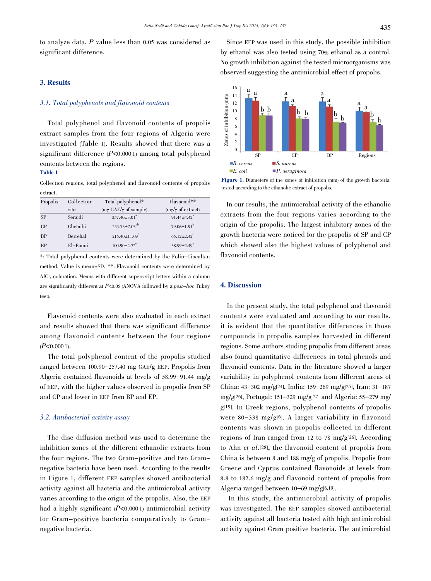to analyze data. P value less than 0.05 was considered as significant difference.

#### 3. Results

### 3.1. Total polyphenols and flavonoid contents

Total polyphenol and flavonoid contents of propolis extract samples from the four regions of Algeria were investigated (Table 1). Results showed that there was a significant difference (P<0.000 1) among total polyphenol contents between the regions.

# Table 1

Collection regions, total polyphenol and flavonoid contents of propolis extract.

| Propolis  | Collection | Total polyphenol*              | Flavonoid**                   |
|-----------|------------|--------------------------------|-------------------------------|
|           | site       | $(mg \text{ GAE/g of sample})$ | $(mg/g \text{ of extract})$   |
| SP        | Seraidi    | $257.40\pm3.01^a$              | $91.44 \pm 4.42^a$            |
| CP        | Chetaibi   | $233.73 \pm 7.03^{ab}$         | $79.06 \pm 1.91^{\mathrm{b}}$ |
| <b>BP</b> | Berrehal   | $215.40 \pm 11.09^b$           | $65.12 \pm 2.42$ <sup>c</sup> |
| EP        | El-Bouni   | $100.90 \pm 2.72$ <sup>c</sup> | 58.99 $\pm$ 2.49 <sup>c</sup> |

\*: Total polyphenol contents were determined by the Folin–Ciocaltau method. Value is mean±SD. \*\*: Flavonoid contents were determined by AlCl<sub>3</sub> coloration. Means with different superscript letters within a column are significantly different at  $P \le 0.05$  (ANOVA followed by a post-hoc Tukey test).

Flavonoid contents were also evaluated in each extract and results showed that there was significant difference among flavonoid contents between the four regions  $(P<0.0001)$ .

The total polyphenol content of the propolis studied ranged between 100.90-257.40 mg GAE/g EEP. Propolis from Algeria contained flavonoids at levels of 58.99-91.44 mg/g of EEP, with the higher values observed in propolis from SP and CP and lower in EEP from BP and EP.

# 3.2. Antibacterial activity assay

The disc diffusion method was used to determine the inhibition zones of the different ethanolic extracts from the four regions. The two Gram-positive and two Gramnegative bacteria have been used. According to the results in Figure 1, different EEP samples showed antibacterial activity against all bacteria and the antimicrobial activity varies according to the origin of the propolis. Also, the EEP had a highly significant  $(P<0.0001)$  antimicrobial activity for Gram-positive bacteria comparatively to Gramnegative bacteria.

Since EEP was used in this study, the possible inhibition by ethanol was also tested using 70% ethanol as a control. No growth inhibition against the tested microorganisms was observed suggesting the antimicrobial effect of propolis.



Figure 1. Diameters of the zones of inhibition (mm) of the growth bacteria tested according to the ethanolic extract of propolis.

In our results, the antimicrobial activity of the ethanolic extracts from the four regions varies according to the origin of the propolis. The largest inhibitory zones of the growth bacteria were noticed for the propolis of SP and CP which showed also the highest values of polyphenol and flavonoid contents.

#### 4. Discussion

In the present study, the total polyphenol and flavonoid contents were evaluated and according to our results, it is evident that the quantitative differences in those compounds in propolis samples harvested in different regions. Some authors studing propolis from different areas also found quantitative differences in total phenols and flavonoid contents. Data in the literature showed a larger variability in polyphenol contents from different areas of China: <sup>43</sup>–<sup>302</sup> mg/g[24], India: <sup>159</sup>–<sup>269</sup> mg/g[25], Iran: <sup>31</sup>–<sup>187</sup> mg/g[26], Portugal: <sup>151</sup>–<sup>329</sup> mg/g[27] and Algeria: 55-279 mg/ g[19]. In Greek regions, polyphenol contents of propolis were 80-338 mg/g[6]. A larger variability in flavonoid contents was shown in propolis collected in different regions of Iran ranged from 12 to 78 mg/g[26]. According to Ahn et al.[28], the flavonoid content of propolis from China is between 8 and 188 mg/g of propolis. Propolis from Greece and Cyprus contained flavonoids at levels from 8.8 to 182.6 mg/g and flavonoid content of propolis from Algeria ranged between 10-69 mg/g[6,19].

In this study, the antimicrobial activity of propolis was investigated. The EEP samples showed antibacterial activity against all bacteria tested with high antimicrobial activity against Gram positive bacteria. The antimicrobial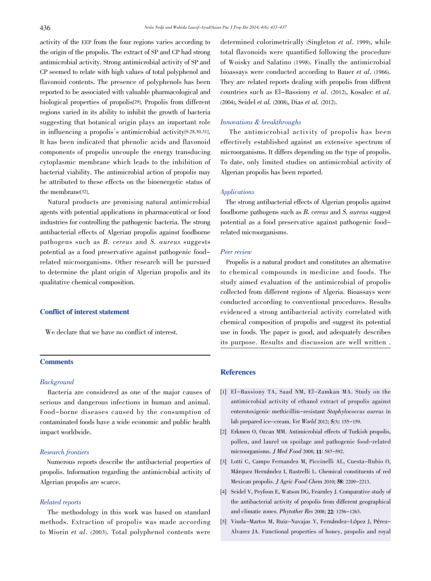activity of the EEP from the four regions varies according to the origin of the propolis. The extract of SP and CP had strong antimicrobial activity. Strong antimicrobial activity of SP and CP seemed to relate with high values of total polyphenol and flavonoid contents. The presence of polyphenols has been reported to be associated with valuable pharmacological and biological properties of propolis[29]. Propolis from different regions varied in its ability to inhibit the growth of bacteria suggesting that botanical origin plays an important role in influencing a propolis´s antimicrobial activity[9,28,30,31]. It has been indicated that phenolic acids and flavonoid components of propolis uncouple the energy transducing cytoplasmic membrane which leads to the inhibition of bacterial viability. The antimicrobial action of propolis may be attributed to these effects on the bioenergetic status of the membrane[32].

Natural products are promising natural antimicrobial agents with potential applications in pharmaceutical or food industries for controlling the pathogenic bacteria. The strong antibacterial effects of Algerian propolis against foodborne pathogens such as B. cereus and S. aureus suggests potential as a food preservative against pathogenic foodrelated microorganisms. Other research will be pursued to determine the plant origin of Algerian propolis and its qualitative chemical composition.

#### Conflict of interest statement

We declare that we have no conflict of interest.

# **Comments**

# **Background**

Bacteria are considered as one of the major causes of serious and dangerous infections in human and animal. Food-borne diseases caused by the consumption of contaminated foods have a wide economic and public health impact worldwide.

# Research frontiers

Numerous reports describe the antibacterial properties of propolis. Information regarding the antimicrobial activity of Algerian propolis are scarce.

#### Related reports

The methodology in this work was based on standard methods. Extraction of propolis was made according to Miorin et al. (2003). Total polyphenol contents were

determined colorimetrically (Singleton et al. 1999), while total flavonoids were quantified following the procedure of Woisky and Salatino (1998). Finally the antimicrobial bioassays were conducted according to Bauer et al. (1966). They are related reports dealing with propolis from diffrent countries such as El-Bassiony et al. (2012), Kosalec et al. (2004), Seidel et al. (2008), Dias et al. (2012).

#### Innovations & breakthroughs

The antimicrobial activity of propolis has been effectively established against an extensive spectrum of microorganisms. It differs depending on the type of propolis. To date, only limited studies on antimicrobial activity of Algerian propolis has been reported.

# Applications

The strong antibacterial effects of Algerian propolis against foodborne pathogens such as B. cereus and S. aureus suggest potential as a food preservative against pathogenic foodrelated microorganisms.

#### Peer review

Propolis is a natural product and constitutes an alternative to chemical compounds in medicine and foods. The study aimed evaluation of the antimicrobial of propolis collected from different regions of Algeria. Bioassays were conducted according to conventional procedures. Results evidenced a strong antibacterial activity correlated with chemical composition of propolis and suggest its potential use in foods. The paper is good, and adequately describes its purpose. Results and discussion are well written .

# **References**

- [1] El-Bassiony TA, Saad NM, El-Zamkan MA. Study on the antimicrobial activity of ethanol extract of propolis against enterotoxigenic methicillin-resistant Staphylococcus aureus in lab prepared ice-cream. Vet World 2012; 5(3): 155-159.
- [2] Erkmen O, Ozcan MM. Antimicrobial effects of Turkish propolis, pollen, and laurel on spoilage and pathogenic food-related microorganisms. J Med Food 2008; 11: <sup>587</sup>–592.
- [3] Lotti C, Campo Fernandez M, Piccinelli AL, Cuesta-Rubio O, Márquez Hernández I, Rastrelli L. Chemical constituents of red Mexican propolis. J Agric Food Chem 2010; 58: 2209-2213.
- [4] Seidel V, Peyfoon E, Watson DG, Fearnley J. Comparative study of the antibacterial activity of propolis from different geographical and climatic zones. Phytother Res 2008; 22: 1256-1263.
- [5] Viuda-Martos M, Ruiz-Navajas Y, Fernández-López J, Pérez-Alvarez JA. Functional properties of honey, propolis and royal